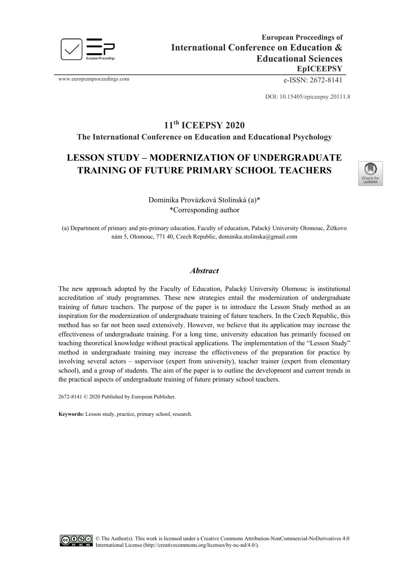

www.europeanproceedings.com e-ISSN: 2672-8141

DOI: 10.15405/epiceepsy.20111.8

# **11th ICEEPSY 2020**

**The International Conference on Education and Educational Psychology**

## **LESSON STUDY – MODERNIZATION OF UNDERGRADUATE TRAINING OF FUTURE PRIMARY SCHOOL TEACHERS**



Dominika Provázková Stolinská (a)\* \*Corresponding author

(a) Department of primary and pre-primary education, Faculty of education, Palacký University Olomouc, Žižkovo nám 5, Olomouc, 771 40, Czech Republic, dominika.stolinska@gmail.com

## *Abstract*

The new approach adopted by the Faculty of Education, Palacký University Olomouc is institutional accreditation of study programmes. These new strategies entail the modernization of undergraduate training of future teachers. The purpose of the paper is to introduce the Lesson Study method as an inspiration for the modernization of undergraduate training of future teachers. In the Czech Republic, this method has so far not been used extensively. However, we believe that its application may increase the effectiveness of undergraduate training. For a long time, university education has primarily focused on teaching theoretical knowledge without practical applications. The implementation of the "Lesson Study" method in undergraduate training may increase the effectiveness of the preparation for practice by involving several actors – supervisor (expert from university), teacher trainer (expert from elementary school), and a group of students. The aim of the paper is to outline the development and current trends in the practical aspects of undergraduate training of future primary school teachers.

2672-8141 © 2020 Published by European Publisher.

**Keywords:** Lesson study, practice, primary school, research.

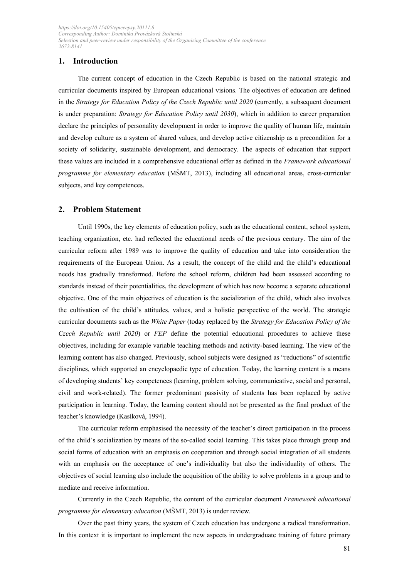## **1. Introduction**

The current concept of education in the Czech Republic is based on the national strategic and curricular documents inspired by European educational visions. The objectives of education are defined in the *Strategy for Education Policy of the Czech Republic until 2020* (currently, a subsequent document is under preparation: *Strategy for Education Policy until 2030*), which in addition to career preparation declare the principles of personality development in order to improve the quality of human life, maintain and develop culture as a system of shared values, and develop active citizenship as a precondition for a society of solidarity, sustainable development, and democracy. The aspects of education that support these values are included in a comprehensive educational offer as defined in the *Framework educational programme for elementary education* (MŠMT, 2013), including all educational areas, cross-curricular subjects, and key competences.

## **2. Problem Statement**

Until 1990s, the key elements of education policy, such as the educational content, school system, teaching organization, etc. had reflected the educational needs of the previous century. The aim of the curricular reform after 1989 was to improve the quality of education and take into consideration the requirements of the European Union. As a result, the concept of the child and the child's educational needs has gradually transformed. Before the school reform, children had been assessed according to standards instead of their potentialities, the development of which has now become a separate educational objective. One of the main objectives of education is the socialization of the child, which also involves the cultivation of the child's attitudes, values, and a holistic perspective of the world. The strategic curricular documents such as the *White Paper* (today replaced by the *Strategy for Education Policy of the Czech Republic until 2020*) or *FEP* define the potential educational procedures to achieve these objectives, including for example variable teaching methods and activity-based learning. The view of the learning content has also changed. Previously, school subjects were designed as "reductions" of scientific disciplines, which supported an encyclopaedic type of education. Today, the learning content is a means of developing students' key competences (learning, problem solving, communicative, social and personal, civil and work-related). The former predominant passivity of students has been replaced by active participation in learning. Today, the learning content should not be presented as the final product of the teacher's knowledge (Kasíková, 1994).

The curricular reform emphasised the necessity of the teacher's direct participation in the process of the child's socialization by means of the so-called social learning. This takes place through group and social forms of education with an emphasis on cooperation and through social integration of all students with an emphasis on the acceptance of one's individuality but also the individuality of others. The objectives of social learning also include the acquisition of the ability to solve problems in a group and to mediate and receive information.

Currently in the Czech Republic, the content of the curricular document *Framework educational programme for elementary education* (MŠMT, 2013) is under review.

Over the past thirty years, the system of Czech education has undergone a radical transformation. In this context it is important to implement the new aspects in undergraduate training of future primary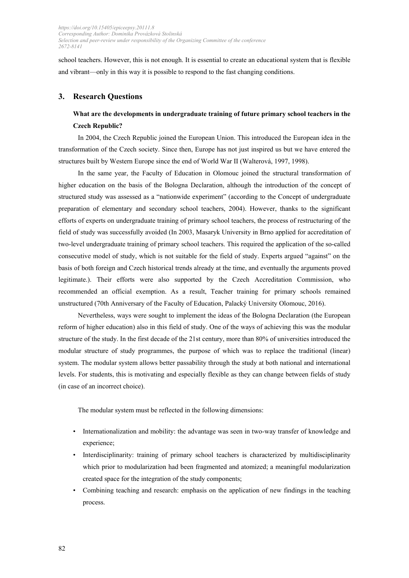school teachers. However, this is not enough. It is essential to create an educational system that is flexible and vibrant—only in this way it is possible to respond to the fast changing conditions.

## **3. Research Questions**

## **What are the developments in undergraduate training of future primary school teachers in the Czech Republic?**

In 2004, the Czech Republic joined the European Union. This introduced the European idea in the transformation of the Czech society. Since then, Europe has not just inspired us but we have entered the structures built by Western Europe since the end of World War II (Walterová, 1997, 1998).

In the same year, the Faculty of Education in Olomouc joined the structural transformation of higher education on the basis of the Bologna Declaration, although the introduction of the concept of structured study was assessed as a "nationwide experiment" (according to the Concept of undergraduate preparation of elementary and secondary school teachers, 2004). However, thanks to the significant efforts of experts on undergraduate training of primary school teachers, the process of restructuring of the field of study was successfully avoided (In 2003, Masaryk University in Brno applied for accreditation of two-level undergraduate training of primary school teachers. This required the application of the so-called consecutive model of study, which is not suitable for the field of study. Experts argued "against" on the basis of both foreign and Czech historical trends already at the time, and eventually the arguments proved legitimate.). Their efforts were also supported by the Czech Accreditation Commission, who recommended an official exemption. As a result, Teacher training for primary schools remained unstructured (70th Anniversary of the Faculty of Education, Palacký University Olomouc, 2016).

Nevertheless, ways were sought to implement the ideas of the Bologna Declaration (the European reform of higher education) also in this field of study. One of the ways of achieving this was the modular structure of the study. In the first decade of the 21st century, more than 80% of universities introduced the modular structure of study programmes, the purpose of which was to replace the traditional (linear) system. The modular system allows better passability through the study at both national and international levels. For students, this is motivating and especially flexible as they can change between fields of study (in case of an incorrect choice).

The modular system must be reflected in the following dimensions:

- Internationalization and mobility: the advantage was seen in two-way transfer of knowledge and experience;
- Interdisciplinarity: training of primary school teachers is characterized by multidisciplinarity which prior to modularization had been fragmented and atomized; a meaningful modularization created space for the integration of the study components;
- Combining teaching and research: emphasis on the application of new findings in the teaching process.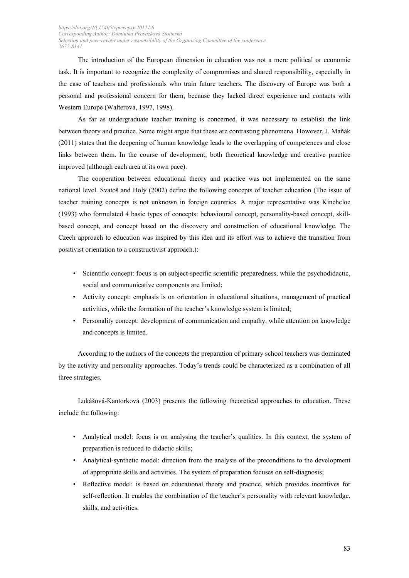The introduction of the European dimension in education was not a mere political or economic task. It is important to recognize the complexity of compromises and shared responsibility, especially in the case of teachers and professionals who train future teachers. The discovery of Europe was both a personal and professional concern for them, because they lacked direct experience and contacts with Western Europe (Walterová, 1997, 1998).

As far as undergraduate teacher training is concerned, it was necessary to establish the link between theory and practice. Some might argue that these are contrasting phenomena. However, J. Maňák (2011) states that the deepening of human knowledge leads to the overlapping of competences and close links between them. In the course of development, both theoretical knowledge and creative practice improved (although each area at its own pace).

The cooperation between educational theory and practice was not implemented on the same national level. Svatoš and Holý (2002) define the following concepts of teacher education (The issue of teacher training concepts is not unknown in foreign countries. A major representative was Kincheloe (1993) who formulated 4 basic types of concepts: behavioural concept, personality-based concept, skillbased concept, and concept based on the discovery and construction of educational knowledge. The Czech approach to education was inspired by this idea and its effort was to achieve the transition from positivist orientation to a constructivist approach.):

- Scientific concept: focus is on subject-specific scientific preparedness, while the psychodidactic, social and communicative components are limited;
- Activity concept: emphasis is on orientation in educational situations, management of practical activities, while the formation of the teacher's knowledge system is limited;
- Personality concept: development of communication and empathy, while attention on knowledge and concepts is limited.

According to the authors of the concepts the preparation of primary school teachers was dominated by the activity and personality approaches. Today's trends could be characterized as a combination of all three strategies.

Lukášová-Kantorková (2003) presents the following theoretical approaches to education. These include the following:

- Analytical model: focus is on analysing the teacher's qualities. In this context, the system of preparation is reduced to didactic skills;
- Analytical-synthetic model: direction from the analysis of the preconditions to the development of appropriate skills and activities. The system of preparation focuses on self-diagnosis;
- Reflective model: is based on educational theory and practice, which provides incentives for self-reflection. It enables the combination of the teacher's personality with relevant knowledge, skills, and activities.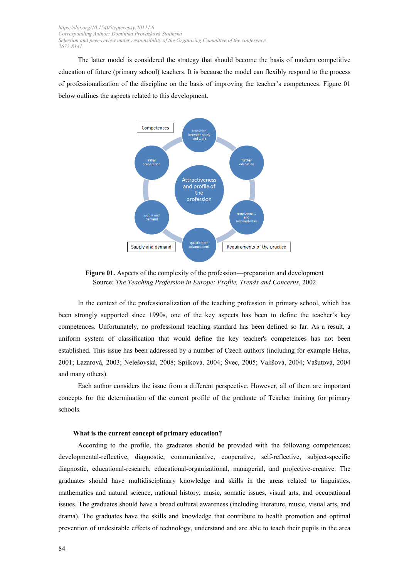The latter model is considered the strategy that should become the basis of modern competitive education of future (primary school) teachers. It is because the model can flexibly respond to the process of professionalization of the discipline on the basis of improving the teacher's competences. Figure 01 below outlines the aspects related to this development.



**Figure 01.** Aspects of the complexity of the profession—preparation and development Source: *The Teaching Profession in Europe: Profile, Trends and Concerns*, 2002

In the context of the professionalization of the teaching profession in primary school, which has been strongly supported since 1990s, one of the key aspects has been to define the teacher's key competences. Unfortunately, no professional teaching standard has been defined so far. As a result, a uniform system of classification that would define the key teacher's competences has not been established. This issue has been addressed by a number of Czech authors (including for example Helus, 2001; Lazarová, 2003; Nelešovská, 2008; Spilková, 2004; Švec, 2005; Vališová, 2004; Vašutová, 2004 and many others).

Each author considers the issue from a different perspective. However, all of them are important concepts for the determination of the current profile of the graduate of Teacher training for primary schools.

#### **What is the current concept of primary education?**

According to the profile, the graduates should be provided with the following competences: developmental-reflective, diagnostic, communicative, cooperative, self-reflective, subject-specific diagnostic, educational-research, educational-organizational, managerial, and projective-creative. The graduates should have multidisciplinary knowledge and skills in the areas related to linguistics, mathematics and natural science, national history, music, somatic issues, visual arts, and occupational issues. The graduates should have a broad cultural awareness (including literature, music, visual arts, and drama). The graduates have the skills and knowledge that contribute to health promotion and optimal prevention of undesirable effects of technology, understand and are able to teach their pupils in the area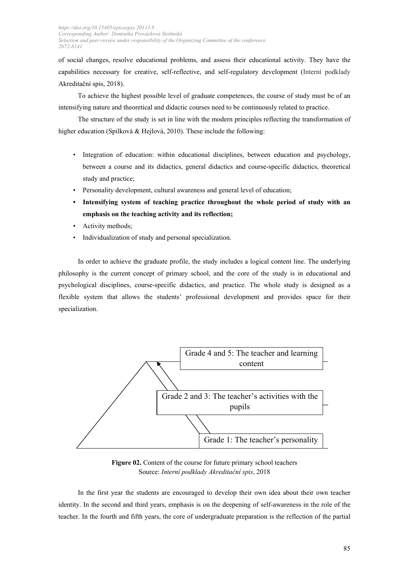of social changes, resolve educational problems, and assess their educational activity. They have the capabilities necessary for creative, self-reflective, and self-regulatory development (Interní podklady Akreditační spis, 2018).

To achieve the highest possible level of graduate competences, the course of study must be of an intensifying nature and theoretical and didactic courses need to be continuously related to practice.

The structure of the study is set in line with the modern principles reflecting the transformation of higher education (Spilková & Hejlová, 2010). These include the following:

- Integration of education: within educational disciplines, between education and psychology, between a course and its didactics, general didactics and course-specific didactics, theoretical study and practice;
- Personality development, cultural awareness and general level of education;
- **Intensifying system of teaching practice throughout the whole period of study with an emphasis on the teaching activity and its reflection;**
- Activity methods;
- Individualization of study and personal specialization.

In order to achieve the graduate profile, the study includes a logical content line. The underlying philosophy is the current concept of primary school, and the core of the study is in educational and psychological disciplines, course-specific didactics, and practice. The whole study is designed as a flexible system that allows the students' professional development and provides space for their specialization.



**Figure 02.** Content of the course for future primary school teachers Source: *Interní podklady Akreditační spis*, 2018

In the first year the students are encouraged to develop their own idea about their own teacher identity. In the second and third years, emphasis is on the deepening of self-awareness in the role of the teacher. In the fourth and fifth years, the core of undergraduate preparation is the reflection of the partial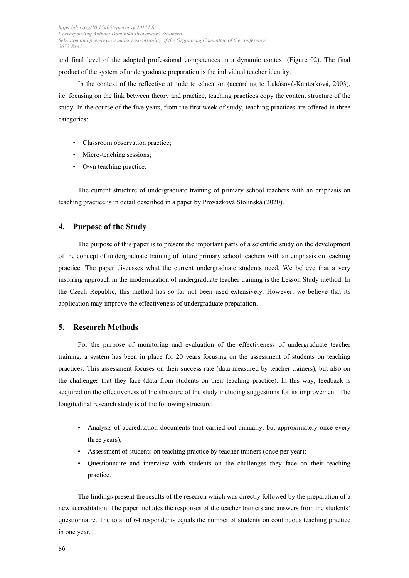and final level of the adopted professional competences in a dynamic context (Figure 02). The final product of the system of undergraduate preparation is the individual teacher identity.

In the context of the reflective attitude to education (according to Lukášová-Kantorková, 2003), i.e. focusing on the link between theory and practice, teaching practices copy the content structure of the study. In the course of the five years, from the first week of study, teaching practices are offered in three categories:

- Classroom observation practice;
- Micro-teaching sessions;
- Own teaching practice.

The current structure of undergraduate training of primary school teachers with an emphasis on teaching practice is in detail described in a paper by Provázková Stolinská (2020).

## **4. Purpose of the Study**

The purpose of this paper is to present the important parts of a scientific study on the development of the concept of undergraduate training of future primary school teachers with an emphasis on teaching practice. The paper discusses what the current undergraduate students need. We believe that a very inspiring approach in the modernization of undergraduate teacher training is the Lesson Study method. In the Czech Republic, this method has so far not been used extensively. However, we believe that its application may improve the effectiveness of undergraduate preparation.

## **5. Research Methods**

For the purpose of monitoring and evaluation of the effectiveness of undergraduate teacher training, a system has been in place for 20 years focusing on the assessment of students on teaching practices. This assessment focuses on their success rate (data measured by teacher trainers), but also on the challenges that they face (data from students on their teaching practice). In this way, feedback is acquired on the effectiveness of the structure of the study including suggestions for its improvement. The longitudinal research study is of the following structure:

- Analysis of accreditation documents (not carried out annually, but approximately once every three years);
- Assessment of students on teaching practice by teacher trainers (once per year);
- Questionnaire and interview with students on the challenges they face on their teaching practice.

The findings present the results of the research which was directly followed by the preparation of a new accreditation. The paper includes the responses of the teacher trainers and answers from the students' questionnaire. The total of 64 respondents equals the number of students on continuous teaching practice in one year.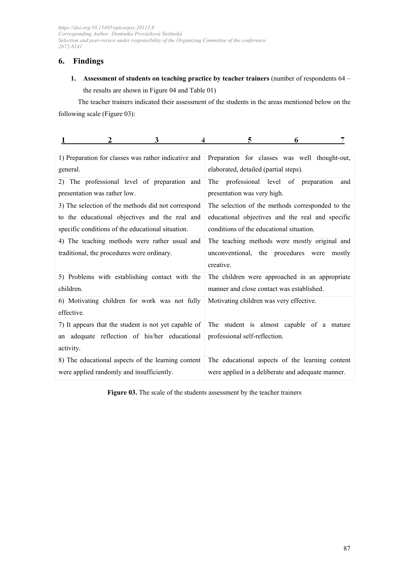## **6. Findings**

**1. Assessment of students on teaching practice by teacher trainers** (number of respondents 64 – the results are shown in Figure 04 and Table 01)

The teacher trainers indicated their assessment of the students in the areas mentioned below on the following scale (Figure 03):

| 3                                                                                                                  | 5                                                                                                           |
|--------------------------------------------------------------------------------------------------------------------|-------------------------------------------------------------------------------------------------------------|
| 4                                                                                                                  | 6                                                                                                           |
| 1) Preparation for classes was rather indicative and                                                               | Preparation for classes was well thought-out,                                                               |
| general.                                                                                                           | elaborated, detailed (partial steps).                                                                       |
| The professional level of preparation and<br>2)<br>presentation was rather low.                                    | professional level of preparation<br>The<br>and<br>presentation was very high.                              |
| 3) The selection of the methods did not correspond                                                                 | The selection of the methods corresponded to the                                                            |
| to the educational objectives and the real and                                                                     | educational objectives and the real and specific                                                            |
| specific conditions of the educational situation.                                                                  | conditions of the educational situation.                                                                    |
| 4) The teaching methods were rather usual and<br>traditional, the procedures were ordinary.                        | The teaching methods were mostly original and<br>unconventional, the procedures were<br>mostly<br>creative. |
| 5) Problems with establishing contact with the                                                                     | The children were approached in an appropriate                                                              |
| children.                                                                                                          | manner and close contact was established.                                                                   |
| 6) Motivating children for work was not fully<br>effective.                                                        | Motivating children was very effective.                                                                     |
| 7) It appears that the student is not yet capable of<br>an adequate reflection of his/her educational<br>activity. | The student is almost capable of a mature<br>professional self-reflection.                                  |
| 8) The educational aspects of the learning content                                                                 | The educational aspects of the learning content                                                             |
| were applied randomly and insufficiently.                                                                          | were applied in a deliberate and adequate manner.                                                           |

Figure 03. The scale of the students assessment by the teacher trainers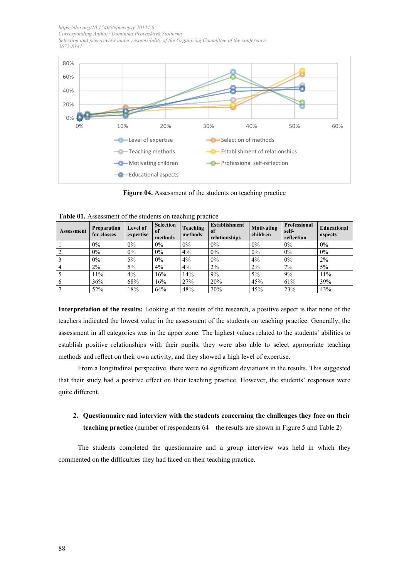

**Figure 04.** Assessment of the students on teaching practice

| <b>Assessment</b> | <b>Preparation</b><br>for classes | Level of<br>expertise | <b>Selection</b><br>of<br>methods | <b>Teaching</b><br>methods | <b>Establishment</b><br>of<br>relationships | Motivating<br>children | <b>Professional</b><br>self-<br>reflection | Educational<br>aspects |
|-------------------|-----------------------------------|-----------------------|-----------------------------------|----------------------------|---------------------------------------------|------------------------|--------------------------------------------|------------------------|
|                   | $0\%$                             | $0\%$                 | $0\%$                             | $0\%$                      | $0\%$                                       | $0\%$                  | 0%                                         | $0\%$                  |
| $\overline{2}$    | $0\%$                             | $0\%$                 | $0\%$                             | 4%                         | $0\%$                                       | $0\%$                  | 0%                                         | $0\%$                  |
| $\overline{3}$    | $0\%$                             | $5\%$                 | $0\%$                             | 4%                         | $0\%$                                       | 4%                     | 0%                                         | 2%                     |
| $\overline{4}$    | $2\%$                             | $5\%$                 | 4%                                | 4%                         | 2%                                          | $2\%$                  | $7\%$                                      | $5\%$                  |
| 5                 | 11%                               | 4%                    | 16%                               | 14%                        | $9\%$                                       | $5\%$                  | 9%                                         | 11%                    |
| 6                 | 36%                               | 68%                   | 16%                               | 27%                        | 20%                                         | 45%                    | 61%                                        | 39%                    |
| $\overline{7}$    | 52%                               | 18%                   | 64%                               | 48%                        | 70%                                         | 45%                    | 23%                                        | 43%                    |

**Table 01.** Assessment of the students on teaching practice

**Interpretation of the results:** Looking at the results of the research, a positive aspect is that none of the teachers indicated the lowest value in the assessment of the students on teaching practice. Generally, the assessment in all categories was in the upper zone. The highest values related to the students' abilities to establish positive relationships with their pupils, they were also able to select appropriate teaching methods and reflect on their own activity, and they showed a high level of expertise.

From a longitudinal perspective, there were no significant deviations in the results. This suggested that their study had a positive effect on their teaching practice. However, the students' responses were quite different.

## **2. Questionnaire and interview with the students concerning the challenges they face on their teaching practice** (number of respondents 64 – the results are shown in Figure 5 and Table 2)

The students completed the questionnaire and a group interview was held in which they commented on the difficulties they had faced on their teaching practice.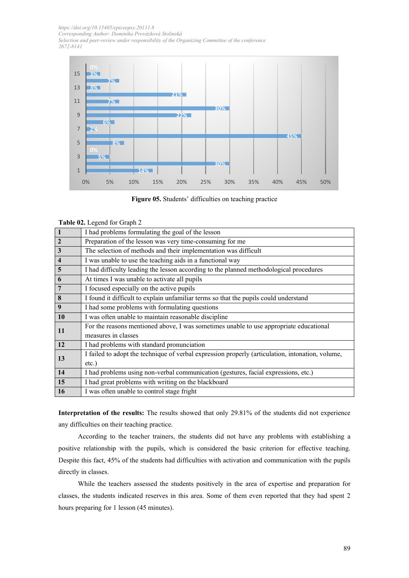

**Figure 05.** Students' difficulties on teaching practice

**Table 02.** Legend for Graph 2

| $\overline{1}$          | I had problems formulating the goal of the lesson                                                |
|-------------------------|--------------------------------------------------------------------------------------------------|
| $\overline{2}$          | Preparation of the lesson was very time-consuming for me                                         |
| $\overline{\mathbf{3}}$ | The selection of methods and their implementation was difficult                                  |
| $\overline{\mathbf{4}}$ | I was unable to use the teaching aids in a functional way                                        |
| $\overline{5}$          | I had difficulty leading the lesson according to the planned methodological procedures           |
| 6                       | At times I was unable to activate all pupils                                                     |
| $\overline{7}$          | I focused especially on the active pupils                                                        |
| 8                       | I found it difficult to explain unfamiliar terms so that the pupils could understand             |
| 9                       | I had some problems with formulating questions                                                   |
| 10                      | I was often unable to maintain reasonable discipline                                             |
| 11                      | For the reasons mentioned above, I was sometimes unable to use appropriate educational           |
|                         | measures in classes                                                                              |
| 12                      | I had problems with standard pronunciation                                                       |
| 13                      | I failed to adopt the technique of verbal expression properly (articulation, intonation, volume, |
|                         | $etc.$ )                                                                                         |
| 14                      | I had problems using non-verbal communication (gestures, facial expressions, etc.)               |
| 15                      | I had great problems with writing on the blackboard                                              |
| <b>16</b>               | I was often unable to control stage fright                                                       |

**Interpretation of the results:** The results showed that only 29.81% of the students did not experience any difficulties on their teaching practice.

According to the teacher trainers, the students did not have any problems with establishing a positive relationship with the pupils, which is considered the basic criterion for effective teaching. Despite this fact, 45% of the students had difficulties with activation and communication with the pupils directly in classes.

While the teachers assessed the students positively in the area of expertise and preparation for classes, the students indicated reserves in this area. Some of them even reported that they had spent 2 hours preparing for 1 lesson (45 minutes).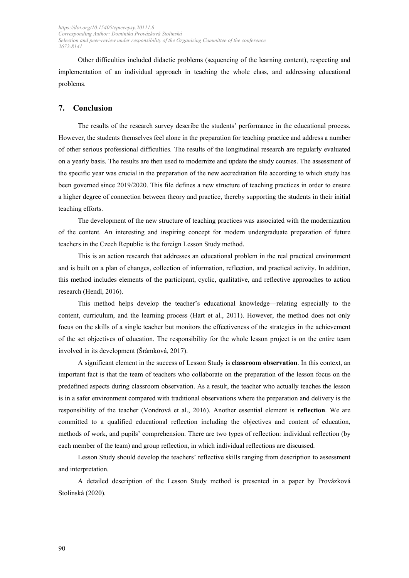Other difficulties included didactic problems (sequencing of the learning content), respecting and implementation of an individual approach in teaching the whole class, and addressing educational problems.

## **7. Conclusion**

The results of the research survey describe the students' performance in the educational process. However, the students themselves feel alone in the preparation for teaching practice and address a number of other serious professional difficulties. The results of the longitudinal research are regularly evaluated on a yearly basis. The results are then used to modernize and update the study courses. The assessment of the specific year was crucial in the preparation of the new accreditation file according to which study has been governed since 2019/2020. This file defines a new structure of teaching practices in order to ensure a higher degree of connection between theory and practice, thereby supporting the students in their initial teaching efforts.

The development of the new structure of teaching practices was associated with the modernization of the content. An interesting and inspiring concept for modern undergraduate preparation of future teachers in the Czech Republic is the foreign Lesson Study method.

This is an action research that addresses an educational problem in the real practical environment and is built on a plan of changes, collection of information, reflection, and practical activity. In addition, this method includes elements of the participant, cyclic, qualitative, and reflective approaches to action research (Hendl, 2016).

This method helps develop the teacher's educational knowledge—relating especially to the content, curriculum, and the learning process (Hart et al., 2011). However, the method does not only focus on the skills of a single teacher but monitors the effectiveness of the strategies in the achievement of the set objectives of education. The responsibility for the whole lesson project is on the entire team involved in its development (Šrámková, 2017).

A significant element in the success of Lesson Study is **classroom observation**. In this context, an important fact is that the team of teachers who collaborate on the preparation of the lesson focus on the predefined aspects during classroom observation. As a result, the teacher who actually teaches the lesson is in a safer environment compared with traditional observations where the preparation and delivery is the responsibility of the teacher (Vondrová et al., 2016). Another essential element is **reflection**. We are committed to a qualified educational reflection including the objectives and content of education, methods of work, and pupils' comprehension. There are two types of reflection: individual reflection (by each member of the team) and group reflection, in which individual reflections are discussed.

Lesson Study should develop the teachers' reflective skills ranging from description to assessment and interpretation.

A detailed description of the Lesson Study method is presented in a paper by Provázková Stolinská (2020).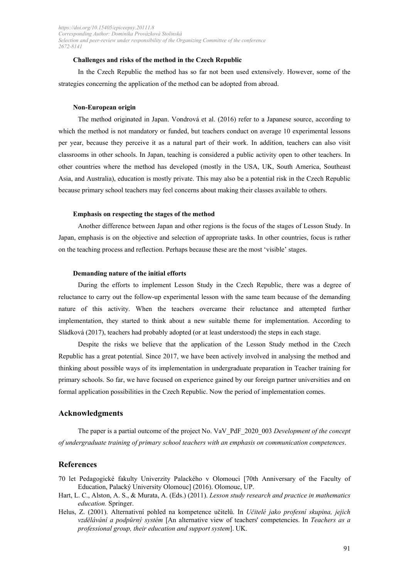### **Challenges and risks of the method in the Czech Republic**

In the Czech Republic the method has so far not been used extensively. However, some of the strategies concerning the application of the method can be adopted from abroad.

#### **Non-European origin**

The method originated in Japan. Vondrová et al. (2016) refer to a Japanese source, according to which the method is not mandatory or funded, but teachers conduct on average 10 experimental lessons per year, because they perceive it as a natural part of their work. In addition, teachers can also visit classrooms in other schools. In Japan, teaching is considered a public activity open to other teachers. In other countries where the method has developed (mostly in the USA, UK, South America, Southeast Asia, and Australia), education is mostly private. This may also be a potential risk in the Czech Republic because primary school teachers may feel concerns about making their classes available to others.

## **Emphasis on respecting the stages of the method**

Another difference between Japan and other regions is the focus of the stages of Lesson Study. In Japan, emphasis is on the objective and selection of appropriate tasks. In other countries, focus is rather on the teaching process and reflection. Perhaps because these are the most 'visible' stages.

#### **Demanding nature of the initial efforts**

During the efforts to implement Lesson Study in the Czech Republic, there was a degree of reluctance to carry out the follow-up experimental lesson with the same team because of the demanding nature of this activity. When the teachers overcame their reluctance and attempted further implementation, they started to think about a new suitable theme for implementation. According to Sládková (2017), teachers had probably adopted (or at least understood) the steps in each stage.

Despite the risks we believe that the application of the Lesson Study method in the Czech Republic has a great potential. Since 2017, we have been actively involved in analysing the method and thinking about possible ways of its implementation in undergraduate preparation in Teacher training for primary schools. So far, we have focused on experience gained by our foreign partner universities and on formal application possibilities in the Czech Republic. Now the period of implementation comes.

## **Acknowledgments**

The paper is a partial outcome of the project No. VaV\_PdF\_2020\_003 *Development of the concept of undergraduate training of primary school teachers with an emphasis on communication competences*.

## **References**

- 70 let Pedagogické fakulty Univerzity Palackého v Olomouci [70th Anniversary of the Faculty of Education, Palacký University Olomouc] (2016). Olomouc, UP.
- Hart, L. C., Alston, A. S., & Murata, A. (Eds.) (2011). *Lesson study research and practice in mathematics education.* Springer.
- Helus, Z. (2001). Alternativní pohled na kompetence učitelů. In *Učitelé jako profesní skupina, jejich vzdělávání a podpůrný systém* [An alternative view of teachers' competencies. In *Teachers as a professional group, their education and support system*]. UK.